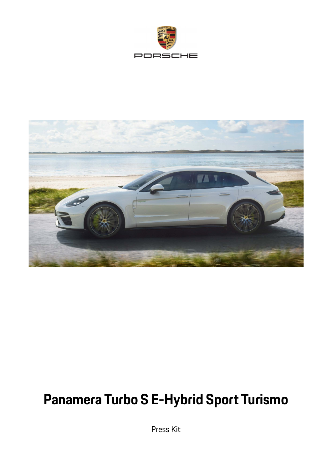



# **Panamera Turbo S E-Hybrid Sport Turismo**

Press Kit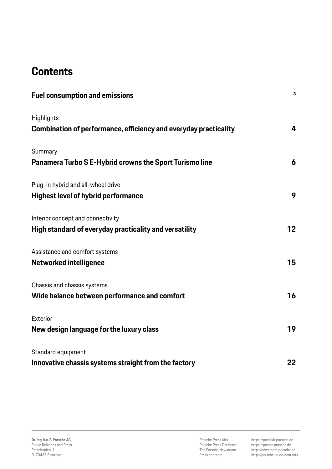# **Contents**

| <b>Fuel consumption and emissions</b>                            | 3  |
|------------------------------------------------------------------|----|
| Highlights                                                       |    |
| Combination of performance, efficiency and everyday practicality | 4  |
| Summary                                                          |    |
| Panamera Turbo S E-Hybrid crowns the Sport Turismo line          | 6  |
| Plug-in hybrid and all-wheel drive                               |    |
| <b>Highest level of hybrid performance</b>                       | 9  |
| Interior concept and connectivity                                |    |
| High standard of everyday practicality and versatility           | 12 |
| Assistance and comfort systems                                   |    |
| <b>Networked intelligence</b>                                    | 15 |
| Chassis and chassis systems                                      |    |
| Wide balance between performance and comfort                     | 16 |
| Exterior                                                         |    |
| New design language for the luxury class                         | 19 |
| Standard equipment                                               |    |
| Innovative chassis systems straight from the factory             | 22 |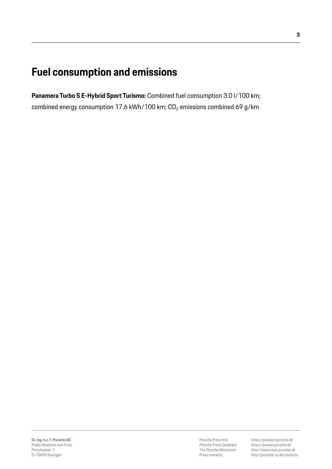# **Fuel consumption and emissions**

**Panamera Turbo S E-Hybrid Sport Turismo:** Combined fuel consumption 3.0 l/100 km; combined energy consumption 17.6 kWh/100 km;  $CO<sub>2</sub>$  emissions combined 69 g/km

Porsche Press Kits Porsche Press Database The Porsche Newsroom Press contacts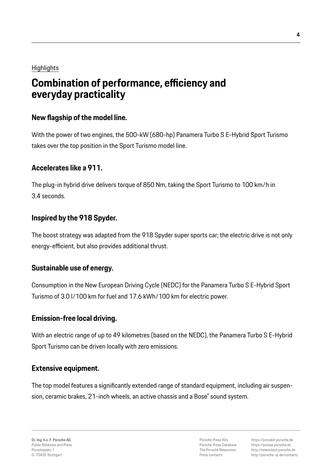### **Highlights**

# **Combination of performance, efficiency and everyday practicality**

### **New flagship of the model line.**

With the power of two engines, the 500-kW (680-hp) Panamera Turbo S E-Hybrid Sport Turismo takes over the top position in the Sport Turismo model line.

### **Accelerates like a 911.**

The plug-in hybrid drive delivers torque of 850 Nm, taking the Sport Turismo to 100 km/h in 3.4 seconds.

### **Inspired by the 918 Spyder.**

The boost strategy was adapted from the 918 Spyder super sports car; the electric drive is not only energy-efficient, but also provides additional thrust.

### **Sustainable use of energy.**

Consumption in the New European Driving Cycle (NEDC) for the Panamera Turbo S E-Hybrid Sport Turismo of 3.0 l/100 km for fuel and 17.6 kWh/100 km for electric power.

### **Emission-free local driving.**

With an electric range of up to 49 kilometres (based on the NEDC), the Panamera Turbo S E-Hybrid Sport Turismo can be driven locally with zero emissions.

### **Extensive equipment.**

The top model features a significantly extended range of standard equipment, including air suspension, ceramic brakes, 21-inch wheels, an active chassis and a Bose® sound system.

Porsche Press Kits Porsche Press Database The Porsche Newsroom Press contacts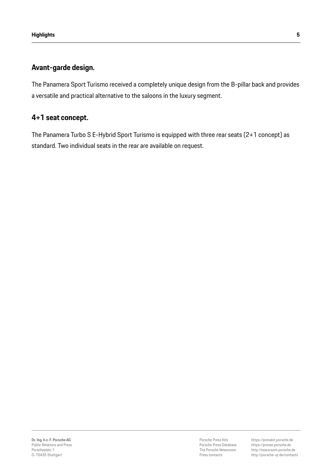### **Avant-garde design.**

The Panamera Sport Turismo received a completely unique design from the B-pillar back and provides a versatile and practical alternative to the saloons in the luxury segment.

### **4+1 seat concept.**

The Panamera Turbo S E-Hybrid Sport Turismo is equipped with three rear seats (2+1 concept) as standard. Two individual seats in the rear are available on request.

Porsche Press Kits Porsche Press Database The Porsche Newsroom Press contacts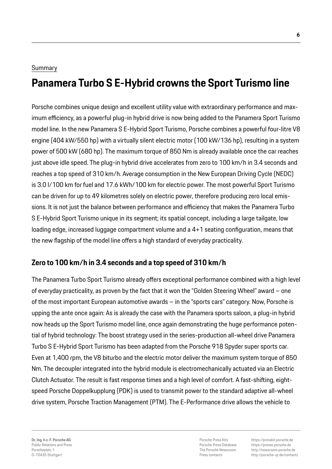### Summary

# **Panamera Turbo S E-Hybrid crowns the Sport Turismo line**

Porsche combines unique design and excellent utility value with extraordinary performance and maximum efficiency, as a powerful plug-in hybrid drive is now being added to the Panamera Sport Turismo model line. In the new Panamera S E-Hybrid Sport Turismo, Porsche combines a powerful four-litre V8 engine (404 kW/550 hp) with a virtually silent electric motor (100 kW/136 hp), resulting in a system power of 500 kW (680 hp). The maximum torque of 850 Nm is already available once the car reaches just above idle speed. The plug-in hybrid drive accelerates from zero to 100 km/h in 3.4 seconds and reaches a top speed of 310 km/h. Average consumption in the New European Driving Cycle (NEDC) is 3.0 l/100 km for fuel and 17.6 kWh/100 km for electric power. The most powerful Sport Turismo can be driven for up to 49 kilometres solely on electric power, therefore producing zero local emissions. It is not just the balance between performance and efficiency that makes the Panamera Turbo S E-Hybrid Sport Turismo unique in its segment; its spatial concept, including a large tailgate, low loading edge, increased luggage compartment volume and a 4+1 seating configuration, means that the new flagship of the model line offers a high standard of everyday practicality.

### **Zero to 100 km/h in 3.4 seconds and a top speed of 310 km/h**

The Panamera Turbo Sport Turismo already offers exceptional performance combined with a high level of everyday practicality, as proven by the fact that it won the "Golden Steering Wheel" award – one of the most important European automotive awards – in the "sports cars" category. Now, Porsche is upping the ante once again: As is already the case with the Panamera sports saloon, a plug-in hybrid now heads up the Sport Turismo model line, once again demonstrating the huge performance potential of hybrid technology: The boost strategy used in the series-production all-wheel drive Panamera Turbo S E-Hybrid Sport Turismo has been adapted from the Porsche 918 Spyder super sports car. Even at 1,400 rpm, the V8 biturbo and the electric motor deliver the maximum system torque of 850 Nm. The decoupler integrated into the hybrid module is electromechanically actuated via an Electric Clutch Actuator. The result is fast response times and a high level of comfort. A fast-shifting, eightspeed Porsche Doppelkupplung (PDK) is used to transmit power to the standard adaptive all-wheel drive system, Porsche Traction Management (PTM). The E-Performance drive allows the vehicle to

Porsche Press Kits Porsche Press Database The Porsche Newsroom Press contacts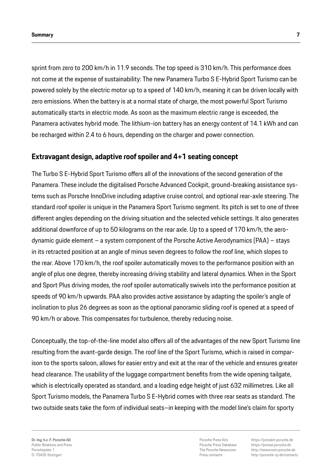sprint from zero to 200 km/h in 11.9 seconds. The top speed is 310 km/h. This performance does not come at the expense of sustainability: The new Panamera Turbo S E-Hybrid Sport Turismo can be powered solely by the electric motor up to a speed of 140 km/h, meaning it can be driven locally with zero emissions. When the battery is at a normal state of charge, the most powerful Sport Turismo automatically starts in electric mode. As soon as the maximum electric range is exceeded, the Panamera activates hybrid mode. The lithium-ion battery has an energy content of 14.1 kWh and can be recharged within 2.4 to 6 hours, depending on the charger and power connection.

#### **Extravagant design, adaptive roof spoiler and 4+1 seating concept**

The Turbo S E-Hybrid Sport Turismo offers all of the innovations of the second generation of the Panamera. These include the digitalised Porsche Advanced Cockpit, ground-breaking assistance systems such as Porsche InnoDrive including adaptive cruise control, and optional rear-axle steering. The standard roof spoiler is unique in the Panamera Sport Turismo segment. Its pitch is set to one of three different angles depending on the driving situation and the selected vehicle settings. It also generates additional downforce of up to 50 kilograms on the rear axle. Up to a speed of 170 km/h, the aerodynamic guide element – a system component of the Porsche Active Aerodynamics (PAA) – stays in its retracted position at an angle of minus seven degrees to follow the roof line, which slopes to the rear. Above 170 km/h, the roof spoiler automatically moves to the performance position with an angle of plus one degree, thereby increasing driving stability and lateral dynamics. When in the Sport and Sport Plus driving modes, the roof spoiler automatically swivels into the performance position at speeds of 90 km/h upwards. PAA also provides active assistance by adapting the spoiler's angle of inclination to plus 26 degrees as soon as the optional panoramic sliding roof is opened at a speed of 90 km/h or above. This compensates for turbulence, thereby reducing noise.

Conceptually, the top-of-the-line model also offers all of the advantages of the new Sport Turismo line resulting from the avant-garde design. The roof line of the Sport Turismo, which is raised in comparison to the sports saloon, allows for easier entry and exit at the rear of the vehicle and ensures greater head clearance. The usability of the luggage compartment benefits from the wide opening tailgate, which is electrically operated as standard, and a loading edge height of just 632 millimetres. Like all Sport Turismo models, the Panamera Turbo S E-Hybrid comes with three rear seats as standard. The two outside seats take the form of individual seats–in keeping with the model line's claim for sporty

Porsche Press Kits Porsche Press Database The Porsche Newsroom Press contacts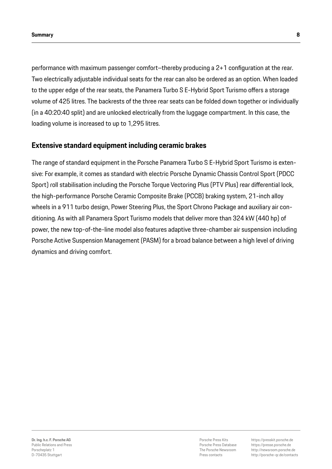performance with maximum passenger comfort–thereby producing a 2+1 configuration at the rear. Two electrically adjustable individual seats for the rear can also be ordered as an option. When loaded to the upper edge of the rear seats, the Panamera Turbo S E-Hybrid Sport Turismo offers a storage volume of 425 litres. The backrests of the three rear seats can be folded down together or individually (in a 40:20:40 split) and are unlocked electrically from the luggage compartment. In this case, the loading volume is increased to up to 1,295 litres.

#### **Extensive standard equipment including ceramic brakes**

The range of standard equipment in the Porsche Panamera Turbo S E-Hybrid Sport Turismo is extensive: For example, it comes as standard with electric Porsche Dynamic Chassis Control Sport (PDCC Sport) roll stabilisation including the Porsche Torque Vectoring Plus (PTV Plus) rear differential lock, the high-performance Porsche Ceramic Composite Brake (PCCB) braking system, 21-inch alloy wheels in a 911 turbo design, Power Steering Plus, the Sport Chrono Package and auxiliary air conditioning. As with all Panamera Sport Turismo models that deliver more than 324 kW (440 hp) of power, the new top-of-the-line model also features adaptive three-chamber air suspension including Porsche Active Suspension Management (PASM) for a broad balance between a high level of driving dynamics and driving comfort.

Porsche Press Kits Porsche Press Database The Porsche Newsroom Press contacts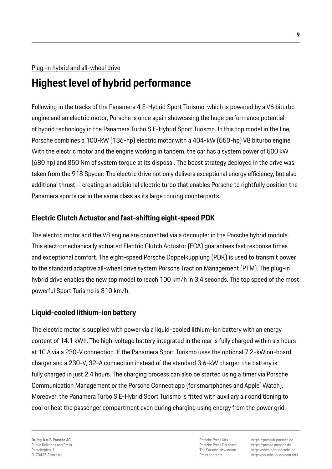### Plug-in hybrid and all-wheel drive

# **Highest level of hybrid performance**

Following in the tracks of the Panamera 4 E-Hybrid Sport Turismo, which is powered by a V6 biturbo engine and an electric motor, Porsche is once again showcasing the huge performance potential of hybrid technology in the Panamera Turbo S E-Hybrid Sport Turismo. In this top model in the line, Porsche combines a 100-kW (136-hp) electric motor with a 404-kW (550-hp) V8 biturbo engine. With the electric motor and the engine working in tandem, the car has a system power of 500 kW (680 hp) and 850 Nm of system torque at its disposal. The boost strategy deployed in the drive was taken from the 918 Spyder: The electric drive not only delivers exceptional energy efficiency, but also additional thrust – creating an additional electric turbo that enables Porsche to rightfully position the Panamera sports car in the same class as its large touring counterparts.

### **Electric Clutch Actuator and fast-shifting eight-speed PDK**

The electric motor and the V8 engine are connected via a decoupler in the Porsche hybrid module. This electromechanically actuated Electric Clutch Actuator (ECA) guarantees fast response times and exceptional comfort. The eight-speed Porsche Doppelkupplung (PDK) is used to transmit power to the standard adaptive all-wheel drive system Porsche Traction Management (PTM). The plug-in hybrid drive enables the new top model to reach 100 km/h in 3.4 seconds. The top speed of the most powerful Sport Turismo is 310 km/h.

### **Liquid-cooled lithium-ion battery**

The electric motor is supplied with power via a liquid-cooled lithium-ion battery with an energy content of 14.1 kWh. The high-voltage battery integrated in the rear is fully charged within six hours at 10 A via a 230-V connection. If the Panamera Sport Turismo uses the optional 7.2-kW on-board charger and a 230-V, 32-A connection instead of the standard 3.6-kW charger, the battery is fully charged in just 2.4 hours. The charging process can also be started using a timer via Porsche Communication Management or the Porsche Connect app (for smartphones and Apple® Watch). Moreover, the Panamera Turbo S E-Hybrid Sport Turismo is fitted with auxiliary air conditioning to cool or heat the passenger compartment even during charging using energy from the power grid.

**Dr. Ing. h.c. F. Porsche AG** Public Relations and Press Porscheplatz 1 D-70435 Stuttgart

Porsche Press Kits Porsche Press Database The Porsche Newsroom Press contacts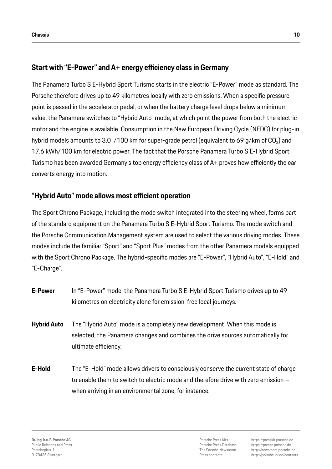### **Start with "E-Power" and A+ energy efficiency class in Germany**

The Panamera Turbo S E-Hybrid Sport Turismo starts in the electric "E-Power" mode as standard. The Porsche therefore drives up to 49 kilometres locally with zero emissions. When a specific pressure point is passed in the accelerator pedal, or when the battery charge level drops below a minimum value, the Panamera switches to "Hybrid Auto" mode, at which point the power from both the electric motor and the engine is available. Consumption in the New European Driving Cycle (NEDC) for plug-in hybrid models amounts to 3.0 l/100 km for super-grade petrol (equivalent to 69 g/km of  $CO<sub>2</sub>$ ) and 17.6 kWh/100 km for electric power. The fact that the Porsche Panamera Turbo S E-Hybrid Sport Turismo has been awarded Germany's top energy efficiency class of A+ proves how efficiently the car converts energy into motion.

### **"Hybrid Auto" mode allows most efficient operation**

The Sport Chrono Package, including the mode switch integrated into the steering wheel, forms part of the standard equipment on the Panamera Turbo S E-Hybrid Sport Turismo. The mode switch and the Porsche Communication Management system are used to select the various driving modes. These modes include the familiar "Sport" and "Sport Plus" modes from the other Panamera models equipped with the Sport Chrono Package. The hybrid-specific modes are "E-Power", "Hybrid Auto", "E-Hold" and "E-Charge".

- **E-Power** In "E-Power" mode, the Panamera Turbo S E-Hybrid Sport Turismo drives up to 49 kilometres on electricity alone for emission-free local journeys.
- **Hybrid Auto** The "Hybrid Auto" mode is a completely new development. When this mode is selected, the Panamera changes and combines the drive sources automatically for ultimate efficiency.
- **E-Hold** The "E-Hold" mode allows drivers to consciously conserve the current state of charge to enable them to switch to electric mode and therefore drive with zero emission – when arriving in an environmental zone, for instance.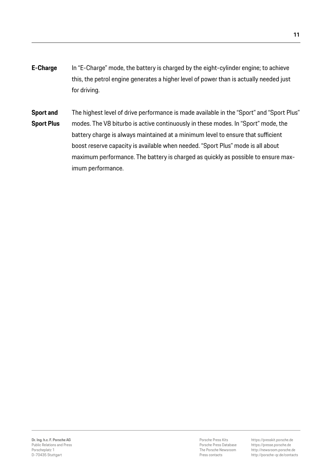**E-Charge** In "E-Charge" mode, the battery is charged by the eight-cylinder engine; to achieve this, the petrol engine generates a higher level of power than is actually needed just for driving.

**Sport and** The highest level of drive performance is made available in the "Sport" and "Sport Plus" **Sport Plus** modes. The V8 biturbo is active continuously in these modes. In "Sport" mode, the battery charge is always maintained at a minimum level to ensure that sufficient boost reserve capacity is available when needed. "Sport Plus" mode is all about maximum performance. The battery is charged as quickly as possible to ensure maximum performance.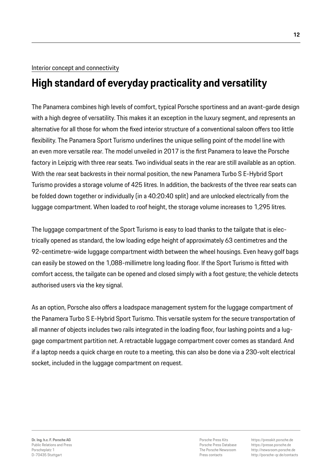#### Interior concept and connectivity

# **High standard of everyday practicality and versatility**

The Panamera combines high levels of comfort, typical Porsche sportiness and an avant-garde design with a high degree of versatility. This makes it an exception in the luxury segment, and represents an alternative for all those for whom the fixed interior structure of a conventional saloon offers too little flexibility. The Panamera Sport Turismo underlines the unique selling point of the model line with an even more versatile rear. The model unveiled in 2017 is the first Panamera to leave the Porsche factory in Leipzig with three rear seats. Two individual seats in the rear are still available as an option. With the rear seat backrests in their normal position, the new Panamera Turbo S E-Hybrid Sport Turismo provides a storage volume of 425 litres. In addition, the backrests of the three rear seats can be folded down together or individually (in a 40:20:40 split) and are unlocked electrically from the luggage compartment. When loaded to roof height, the storage volume increases to 1,295 litres.

The luggage compartment of the Sport Turismo is easy to load thanks to the tailgate that is electrically opened as standard, the low loading edge height of approximately 63 centimetres and the 92-centimetre-wide luggage compartment width between the wheel housings. Even heavy golf bags can easily be stowed on the 1,088-millimetre long loading floor. If the Sport Turismo is fitted with comfort access, the tailgate can be opened and closed simply with a foot gesture; the vehicle detects authorised users via the key signal.

As an option, Porsche also offers a loadspace management system for the luggage compartment of the Panamera Turbo S E-Hybrid Sport Turismo. This versatile system for the secure transportation of all manner of objects includes two rails integrated in the loading floor, four lashing points and a luggage compartment partition net. A retractable luggage compartment cover comes as standard. And if a laptop needs a quick charge en route to a meeting, this can also be done via a 230-volt electrical socket, included in the luggage compartment on request.

Porsche Press Kits Porsche Press Database The Porsche Newsroom Press contacts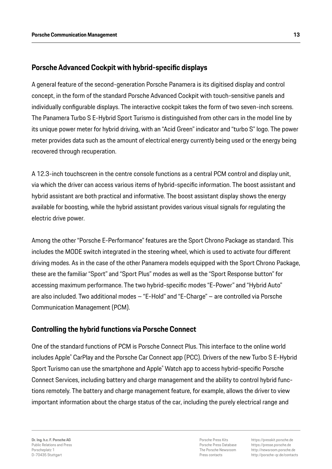### **Porsche Advanced Cockpit with hybrid-specific displays**

A general feature of the second-generation Porsche Panamera is its digitised display and control concept, in the form of the standard Porsche Advanced Cockpit with touch-sensitive panels and individually configurable displays. The interactive cockpit takes the form of two seven-inch screens. The Panamera Turbo S E-Hybrid Sport Turismo is distinguished from other cars in the model line by its unique power meter for hybrid driving, with an "Acid Green" indicator and "turbo S" logo. The power meter provides data such as the amount of electrical energy currently being used or the energy being recovered through recuperation.

A 12.3-inch touchscreen in the centre console functions as a central PCM control and display unit, via which the driver can access various items of hybrid-specific information. The boost assistant and hybrid assistant are both practical and informative. The boost assistant display shows the energy available for boosting, while the hybrid assistant provides various visual signals for regulating the electric drive power.

Among the other "Porsche E-Performance" features are the Sport Chrono Package as standard. This includes the MODE switch integrated in the steering wheel, which is used to activate four different driving modes. As in the case of the other Panamera models equipped with the Sport Chrono Package, these are the familiar "Sport" and "Sport Plus" modes as well as the "Sport Response button" for accessing maximum performance. The two hybrid-specific modes "E-Power" and "Hybrid Auto" are also included. Two additional modes – "E-Hold" and "E-Charge" – are controlled via Porsche Communication Management (PCM).

### **Controlling the hybrid functions via Porsche Connect**

One of the standard functions of PCM is Porsche Connect Plus. This interface to the online world includes Apple® CarPlay and the Porsche Car Connect app (PCC). Drivers of the new Turbo S E-Hybrid Sport Turismo can use the smartphone and Apple® Watch app to access hybrid-specific Porsche Connect Services, including battery and charge management and the ability to control hybrid functions remotely. The battery and charge management feature, for example, allows the driver to view important information about the charge status of the car, including the purely electrical range and

Porsche Press Kits Porsche Press Database The Porsche Newsroom Press contacts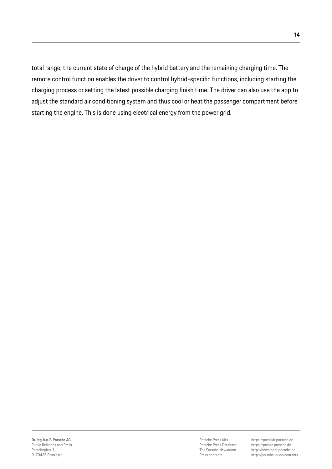total range, the current state of charge of the hybrid battery and the remaining charging time. The remote control function enables the driver to control hybrid-specific functions, including starting the charging process or setting the latest possible charging finish time. The driver can also use the app to adjust the standard air conditioning system and thus cool or heat the passenger compartment before starting the engine. This is done using electrical energy from the power grid.

Porsche Press Kits Porsche Press Database The Porsche Newsroom Press contacts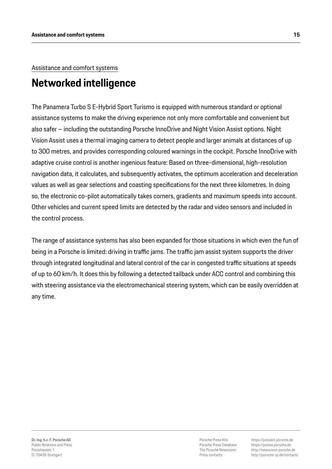## Assistance and comfort systems

# **Networked intelligence**

The Panamera Turbo S E-Hybrid Sport Turismo is equipped with numerous standard or optional assistance systems to make the driving experience not only more comfortable and convenient but also safer – including the outstanding Porsche InnoDrive and Night Vision Assist options. Night Vision Assist uses a thermal imaging camera to detect people and larger animals at distances of up to 300 metres, and provides corresponding coloured warnings in the cockpit. Porsche InnoDrive with adaptive cruise control is another ingenious feature: Based on three-dimensional, high-resolution navigation data, it calculates, and subsequently activates, the optimum acceleration and deceleration values as well as gear selections and coasting specifications for the next three kilometres. In doing so, the electronic co-pilot automatically takes corners, gradients and maximum speeds into account. Other vehicles and current speed limits are detected by the radar and video sensors and included in the control process.

The range of assistance systems has also been expanded for those situations in which even the fun of being in a Porsche is limited: driving in traffic jams. The traffic jam assist system supports the driver through integrated longitudinal and lateral control of the car in congested traffic situations at speeds of up to 60 km/h. It does this by following a detected tailback under ACC control and combining this with steering assistance via the electromechanical steering system, which can be easily overridden at any time.

Porsche Press Kits Porsche Press Database The Porsche Newsroom Press contacts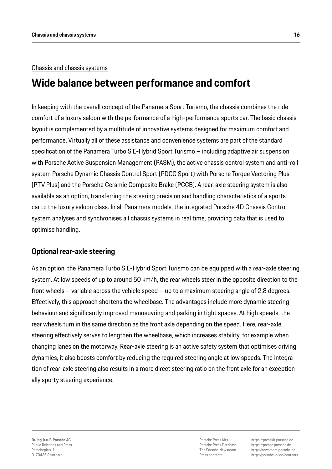#### Chassis and chassis systems

# **Wide balance between performance and comfort**

In keeping with the overall concept of the Panamera Sport Turismo, the chassis combines the ride comfort of a luxury saloon with the performance of a high-performance sports car. The basic chassis layout is complemented by a multitude of innovative systems designed for maximum comfort and performance. Virtually all of these assistance and convenience systems are part of the standard specification of the Panamera Turbo S E-Hybrid Sport Turismo – including adaptive air suspension with Porsche Active Suspension Management (PASM), the active chassis control system and anti-roll system Porsche Dynamic Chassis Control Sport (PDCC Sport) with Porsche Torque Vectoring Plus (PTV Plus) and the Porsche Ceramic Composite Brake (PCCB). A rear-axle steering system is also available as an option, transferring the steering precision and handling characteristics of a sports car to the luxury saloon class. In all Panamera models, the integrated Porsche 4D Chassis Control system analyses and synchronises all chassis systems in real time, providing data that is used to optimise handling.

#### **Optional rear-axle steering**

As an option, the Panamera Turbo S E-Hybrid Sport Turismo can be equipped with a rear-axle steering system. At low speeds of up to around 50 km/h, the rear wheels steer in the opposite direction to the front wheels – variable across the vehicle speed – up to a maximum steering angle of 2.8 degrees. Effectively, this approach shortens the wheelbase. The advantages include more dynamic steering behaviour and significantly improved manoeuvring and parking in tight spaces. At high speeds, the rear wheels turn in the same direction as the front axle depending on the speed. Here, rear-axle steering effectively serves to lengthen the wheelbase, which increases stability, for example when changing lanes on the motorway. Rear-axle steering is an active safety system that optimises driving dynamics; it also boosts comfort by reducing the required steering angle at low speeds. The integration of rear-axle steering also results in a more direct steering ratio on the front axle for an exceptionally sporty steering experience.

Porsche Press Kits Porsche Press Database The Porsche Newsroom Press contacts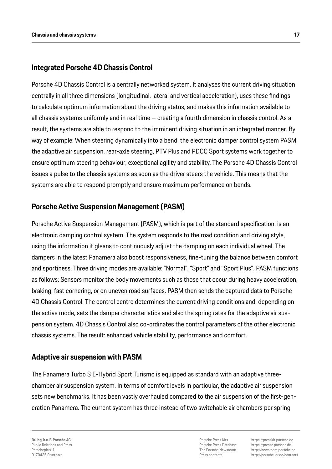### **Integrated Porsche 4D Chassis Control**

Porsche 4D Chassis Control is a centrally networked system. It analyses the current driving situation centrally in all three dimensions (longitudinal, lateral and vertical acceleration), uses these findings to calculate optimum information about the driving status, and makes this information available to all chassis systems uniformly and in real time – creating a fourth dimension in chassis control. As a result, the systems are able to respond to the imminent driving situation in an integrated manner. By way of example: When steering dynamically into a bend, the electronic damper control system PASM, the adaptive air suspension, rear-axle steering, PTV Plus and PDCC Sport systems work together to ensure optimum steering behaviour, exceptional agility and stability. The Porsche 4D Chassis Control issues a pulse to the chassis systems as soon as the driver steers the vehicle. This means that the systems are able to respond promptly and ensure maximum performance on bends.

### **Porsche Active Suspension Management (PASM)**

Porsche Active Suspension Management (PASM), which is part of the standard specification, is an electronic damping control system. The system responds to the road condition and driving style, using the information it gleans to continuously adjust the damping on each individual wheel. The dampers in the latest Panamera also boost responsiveness, fine-tuning the balance between comfort and sportiness. Three driving modes are available: "Normal", "Sport" and "Sport Plus". PASM functions as follows: Sensors monitor the body movements such as those that occur during heavy acceleration, braking, fast cornering, or on uneven road surfaces. PASM then sends the captured data to Porsche 4D Chassis Control. The control centre determines the current driving conditions and, depending on the active mode, sets the damper characteristics and also the spring rates for the adaptive air suspension system. 4D Chassis Control also co-ordinates the control parameters of the other electronic chassis systems. The result: enhanced vehicle stability, performance and comfort.

### **Adaptive air suspension with PASM**

The Panamera Turbo S E-Hybrid Sport Turismo is equipped as standard with an adaptive threechamber air suspension system. In terms of comfort levels in particular, the adaptive air suspension sets new benchmarks. It has been vastly overhauled compared to the air suspension of the first-generation Panamera. The current system has three instead of two switchable air chambers per spring

**Dr. Ing. h.c. F. Porsche AG** Public Relations and Press Porscheplatz 1 D-70435 Stuttgart

Porsche Press Kits Porsche Press Database The Porsche Newsroom Press contacts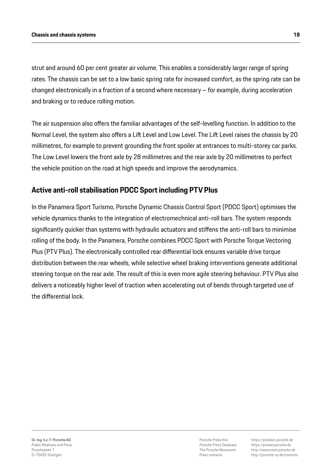strut and around 60 per cent greater air volume. This enables a considerably larger range of spring rates. The chassis can be set to a low basic spring rate for increased comfort, as the spring rate can be changed electronically in a fraction of a second where necessary – for example, during acceleration and braking or to reduce rolling motion.

The air suspension also offers the familiar advantages of the self-levelling function. In addition to the Normal Level, the system also offers a Lift Level and Low Level. The Lift Level raises the chassis by 20 millimetres, for example to prevent grounding the front spoiler at entrances to multi-storey car parks. The Low Level lowers the front axle by 28 millimetres and the rear axle by 20 millimetres to perfect the vehicle position on the road at high speeds and improve the aerodynamics.

### **Active anti-roll stabilisation PDCC Sport including PTV Plus**

In the Panamera Sport Turismo, Porsche Dynamic Chassis Control Sport (PDCC Sport) optimises the vehicle dynamics thanks to the integration of electromechnical anti-roll bars. The system responds significantly quicker than systems with hydraulic actuators and stiffens the anti-roll bars to minimise rolling of the body. In the Panamera, Porsche combines PDCC Sport with Porsche Torque Vectoring Plus (PTV Plus). The electronically controlled rear differential lock ensures variable drive torque distribution between the rear wheels, while selective wheel braking interventions generate additional steering torque on the rear axle. The result of this is even more agile steering behaviour. PTV Plus also delivers a noticeably higher level of traction when accelerating out of bends through targeted use of the differential lock.

Porsche Press Kits Porsche Press Database The Porsche Newsroom Press contacts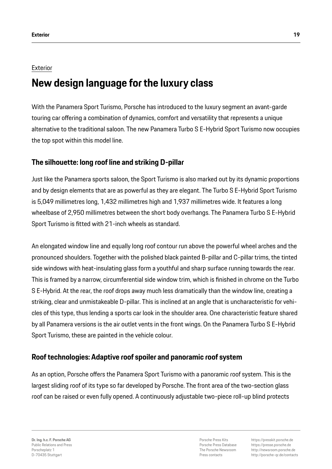#### **Exterior**

# **New design language for the luxury class**

With the Panamera Sport Turismo, Porsche has introduced to the luxury segment an avant-garde touring car offering a combination of dynamics, comfort and versatility that represents a unique alternative to the traditional saloon. The new Panamera Turbo S E-Hybrid Sport Turismo now occupies the top spot within this model line.

### **The silhouette: long roof line and striking D-pillar**

Just like the Panamera sports saloon, the Sport Turismo is also marked out by its dynamic proportions and by design elements that are as powerful as they are elegant. The Turbo S E-Hybrid Sport Turismo is 5,049 millimetres long, 1,432 millimetres high and 1,937 millimetres wide. It features a long wheelbase of 2,950 millimetres between the short body overhangs. The Panamera Turbo S E-Hybrid Sport Turismo is fitted with 21-inch wheels as standard.

An elongated window line and equally long roof contour run above the powerful wheel arches and the pronounced shoulders. Together with the polished black painted B-pillar and C-pillar trims, the tinted side windows with heat-insulating glass form a youthful and sharp surface running towards the rear. This is framed by a narrow, circumferential side window trim, which is finished in chrome on the Turbo S E-Hybrid. At the rear, the roof drops away much less dramatically than the window line, creating a striking, clear and unmistakeable D-pillar. This is inclined at an angle that is uncharacteristic for vehicles of this type, thus lending a sports car look in the shoulder area. One characteristic feature shared by all Panamera versions is the air outlet vents in the front wings. On the Panamera Turbo S E-Hybrid Sport Turismo, these are painted in the vehicle colour.

### **Roof technologies: Adaptive roof spoiler and panoramic roof system**

As an option, Porsche offers the Panamera Sport Turismo with a panoramic roof system. This is the largest sliding roof of its type so far developed by Porsche. The front area of the two-section glass roof can be raised or even fully opened. A continuously adjustable two-piece roll-up blind protects

**Dr. Ing. h.c. F. Porsche AG** Public Relations and Press Porscheplatz 1 D-70435 Stuttgart

Porsche Press Kits Porsche Press Database The Porsche Newsroom Press contacts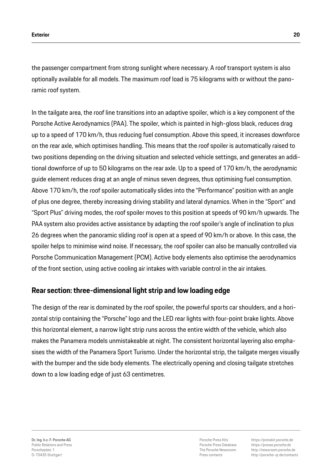the passenger compartment from strong sunlight where necessary. A roof transport system is also optionally available for all models. The maximum roof load is 75 kilograms with or without the panoramic roof system.

In the tailgate area, the roof line transitions into an adaptive spoiler, which is a key component of the Porsche Active Aerodynamics (PAA). The spoiler, which is painted in high-gloss black, reduces drag up to a speed of 170 km/h, thus reducing fuel consumption. Above this speed, it increases downforce on the rear axle, which optimises handling. This means that the roof spoiler is automatically raised to two positions depending on the driving situation and selected vehicle settings, and generates an additional downforce of up to 50 kilograms on the rear axle. Up to a speed of 170 km/h, the aerodynamic guide element reduces drag at an angle of minus seven degrees, thus optimising fuel consumption. Above 170 km/h, the roof spoiler automatically slides into the "Performance" position with an angle of plus one degree, thereby increasing driving stability and lateral dynamics. When in the "Sport" and "Sport Plus" driving modes, the roof spoiler moves to this position at speeds of 90 km/h upwards. The PAA system also provides active assistance by adapting the roof spoiler's angle of inclination to plus 26 degrees when the panoramic sliding roof is open at a speed of 90 km/h or above. In this case, the spoiler helps to minimise wind noise. If necessary, the roof spoiler can also be manually controlled via Porsche Communication Management (PCM). Active body elements also optimise the aerodynamics of the front section, using active cooling air intakes with variable control in the air intakes.

### **Rear section: three-dimensional light strip and low loading edge**

The design of the rear is dominated by the roof spoiler, the powerful sports car shoulders, and a horizontal strip containing the "Porsche" logo and the LED rear lights with four-point brake lights. Above this horizontal element, a narrow light strip runs across the entire width of the vehicle, which also makes the Panamera models unmistakeable at night. The consistent horizontal layering also emphasises the width of the Panamera Sport Turismo. Under the horizontal strip, the tailgate merges visually with the bumper and the side body elements. The electrically opening and closing tailgate stretches down to a low loading edge of just 63 centimetres.

Porsche Press Kits Porsche Press Database The Porsche Newsroom Press contacts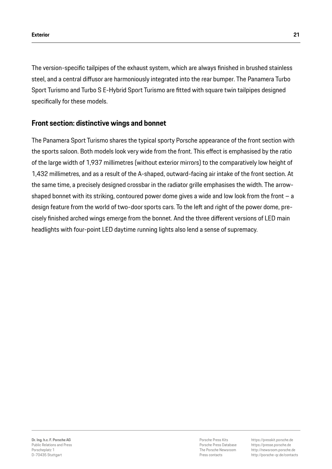The version-specific tailpipes of the exhaust system, which are always finished in brushed stainless steel, and a central diffusor are harmoniously integrated into the rear bumper. The Panamera Turbo Sport Turismo and Turbo S E-Hybrid Sport Turismo are fitted with square twin tailpipes designed specifically for these models.

### **Front section: distinctive wings and bonnet**

The Panamera Sport Turismo shares the typical sporty Porsche appearance of the front section with the sports saloon. Both models look very wide from the front. This effect is emphasised by the ratio of the large width of 1,937 millimetres (without exterior mirrors) to the comparatively low height of 1,432 millimetres, and as a result of the A-shaped, outward-facing air intake of the front section. At the same time, a precisely designed crossbar in the radiator grille emphasises the width. The arrowshaped bonnet with its striking, contoured power dome gives a wide and low look from the front – a design feature from the world of two-door sports cars. To the left and right of the power dome, precisely finished arched wings emerge from the bonnet. And the three different versions of LED main headlights with four-point LED daytime running lights also lend a sense of supremacy.

Porsche Press Kits Porsche Press Database The Porsche Newsroom Press contacts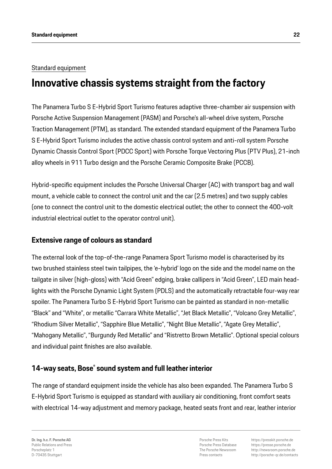#### Standard equipment

# **Innovative chassis systems straight from the factory**

The Panamera Turbo S E-Hybrid Sport Turismo features adaptive three-chamber air suspension with Porsche Active Suspension Management (PASM) and Porsche's all-wheel drive system, Porsche Traction Management (PTM), as standard. The extended standard equipment of the Panamera Turbo S E-Hybrid Sport Turismo includes the active chassis control system and anti-roll system Porsche Dynamic Chassis Control Sport (PDCC Sport) with Porsche Torque Vectoring Plus (PTV Plus), 21-inch alloy wheels in 911 Turbo design and the Porsche Ceramic Composite Brake (PCCB).

Hybrid-specific equipment includes the Porsche Universal Charger (AC) with transport bag and wall mount, a vehicle cable to connect the control unit and the car (2.5 metres) and two supply cables (one to connect the control unit to the domestic electrical outlet; the other to connect the 400-volt industrial electrical outlet to the operator control unit).

#### **Extensive range of colours as standard**

The external look of the top-of-the-range Panamera Sport Turismo model is characterised by its two brushed stainless steel twin tailpipes, the 'e-hybrid' logo on the side and the model name on the tailgate in silver (high-gloss) with "Acid Green" edging, brake callipers in "Acid Green", LED main headlights with the Porsche Dynamic Light System (PDLS) and the automatically retractable four-way rear spoiler. The Panamera Turbo S E-Hybrid Sport Turismo can be painted as standard in non-metallic "Black" and "White", or metallic "Carrara White Metallic", "Jet Black Metallic", "Volcano Grey Metallic", "Rhodium Silver Metallic", "Sapphire Blue Metallic", "Night Blue Metallic", "Agate Grey Metallic", "Mahogany Metallic", "Burgundy Red Metallic" and "Ristretto Brown Metallic". Optional special colours and individual paint finishes are also available.

### **14-way seats, Bose® sound system and full leather interior**

The range of standard equipment inside the vehicle has also been expanded. The Panamera Turbo S E-Hybrid Sport Turismo is equipped as standard with auxiliary air conditioning, front comfort seats with electrical 14-way adjustment and memory package, heated seats front and rear, leather interior

Porsche Press Kits Porsche Press Database The Porsche Newsroom Press contacts